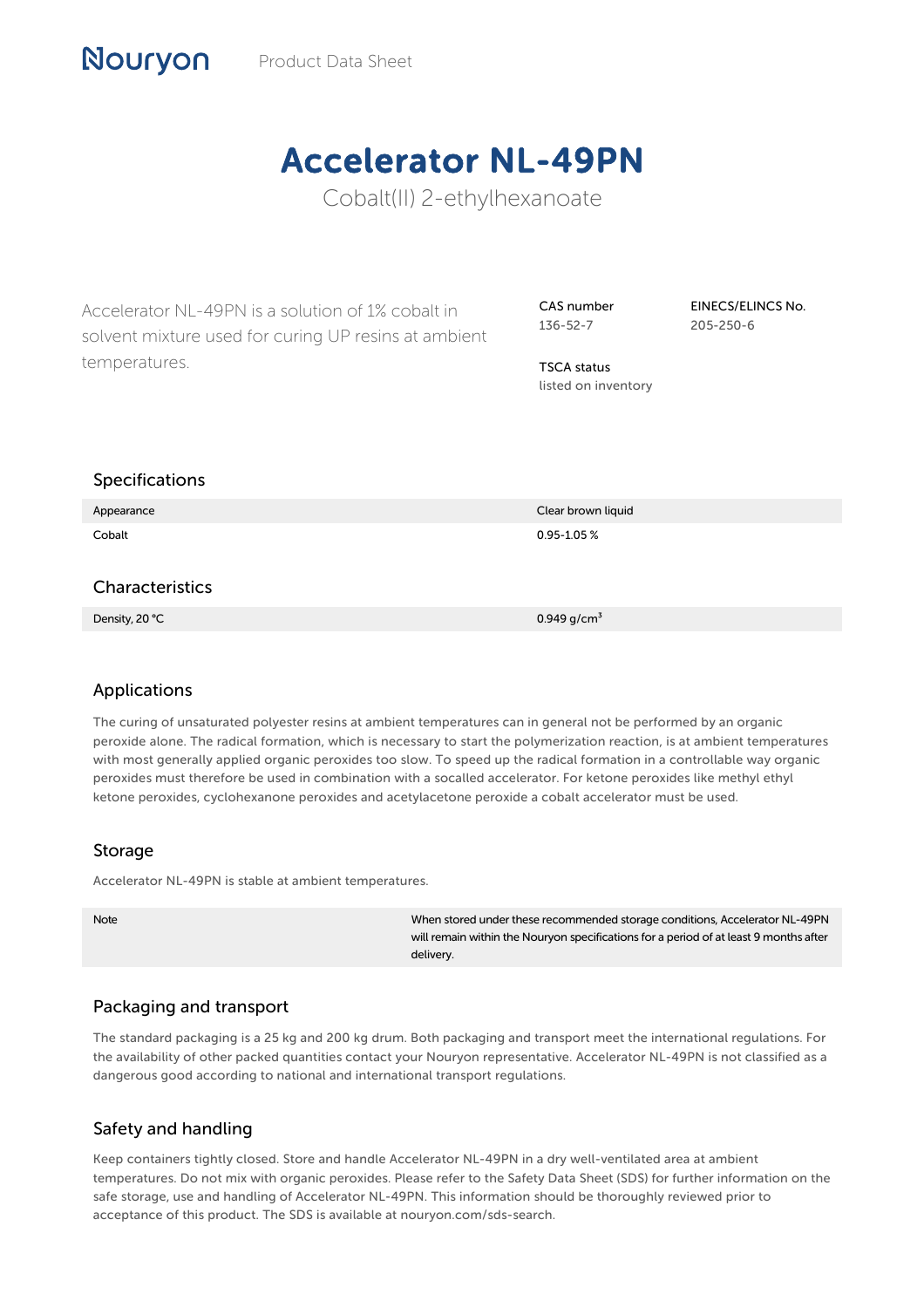# Accelerator NL-49PN

Cobalt(II) 2-ethylhexanoate

Accelerator NL-49PN is a solution of 1% cobalt in solvent mixture used for curing UP resins at ambient temperatures.

CAS number 136-52-7

EINECS/ELINCS No. 205-250-6

TSCA status listed on inventory

## Specifications

Nouryon

| Appearance      | Clear brown liquid |
|-----------------|--------------------|
| Cobalt          | $0.95 - 1.05 %$    |
|                 |                    |
| Characteristics |                    |
| Density, 20 °C  | 0.949 $g/cm^3$     |

## Applications

The curing of unsaturated polyester resins at ambient temperatures can in general not be performed by an organic peroxide alone. The radical formation, which is necessary to start the polymerization reaction, is at ambient temperatures with most generally applied organic peroxides too slow. To speed up the radical formation in a controllable way organic peroxides must therefore be used in combination with a socalled accelerator. For ketone peroxides like methyl ethyl ketone peroxides, cyclohexanone peroxides and acetylacetone peroxide a cobalt accelerator must be used.

#### Storage

Accelerator NL-49PN is stable at ambient temperatures.

Note When stored under these recommended storage conditions, Accelerator NL-49PN will remain within the Nouryon specifications for a period of at least 9 months after delivery.

## Packaging and transport

The standard packaging is a 25 kg and 200 kg drum. Both packaging and transport meet the international regulations. For the availability of other packed quantities contact your Nouryon representative. Accelerator NL-49PN is not classified as a dangerous good according to national and international transport regulations.

## Safety and handling

Keep containers tightly closed. Store and handle Accelerator NL-49PN in a dry well-ventilated area at ambient temperatures. Do not mix with organic peroxides. Please refer to the Safety Data Sheet (SDS) for further information on the safe storage, use and handling of Accelerator NL-49PN. This information should be thoroughly reviewed prior to acceptance of this product. The SDS is available at nouryon.com/sds-search.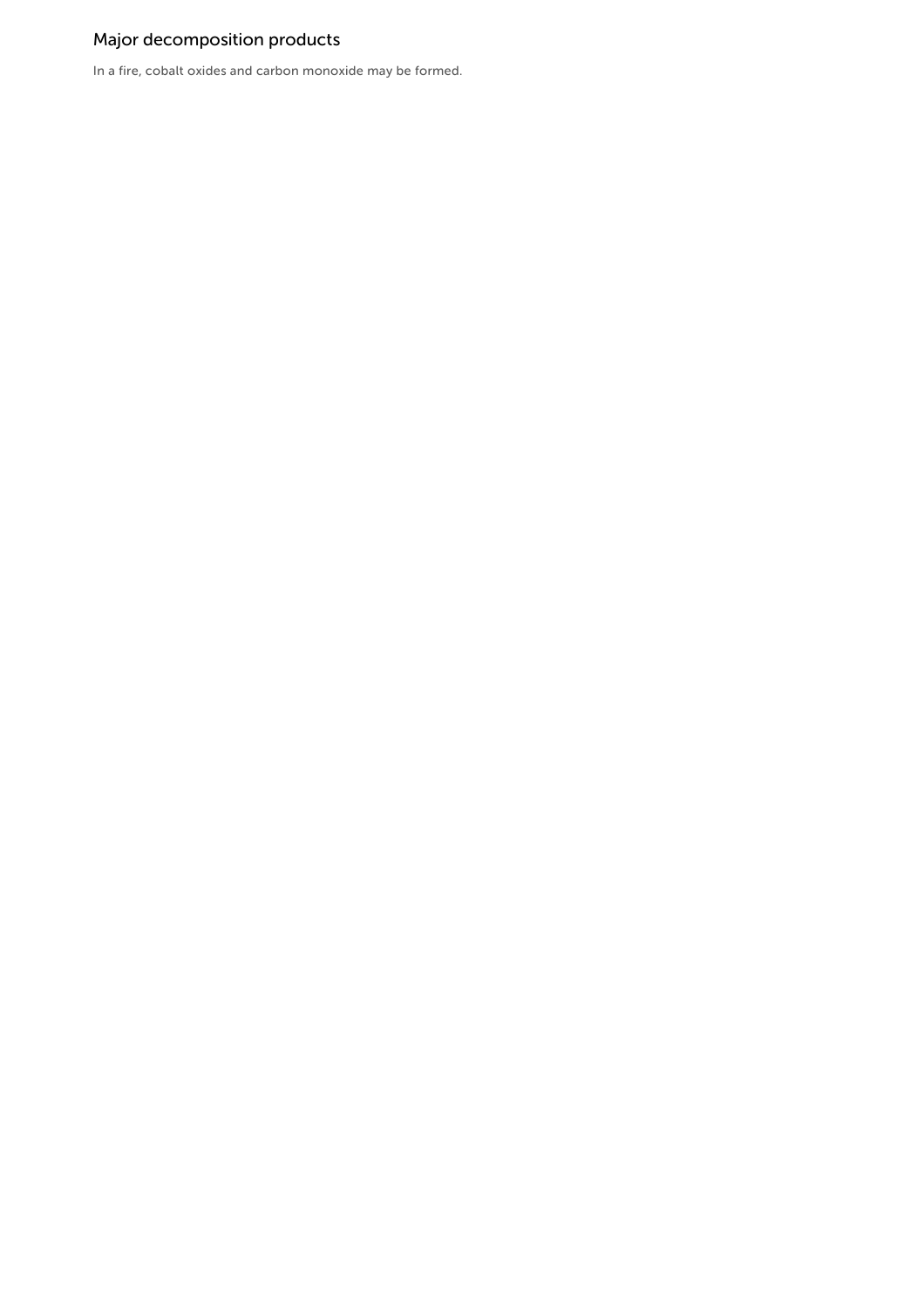# Major decomposition products

In a fire, cobalt oxides and carbon monoxide may be formed.